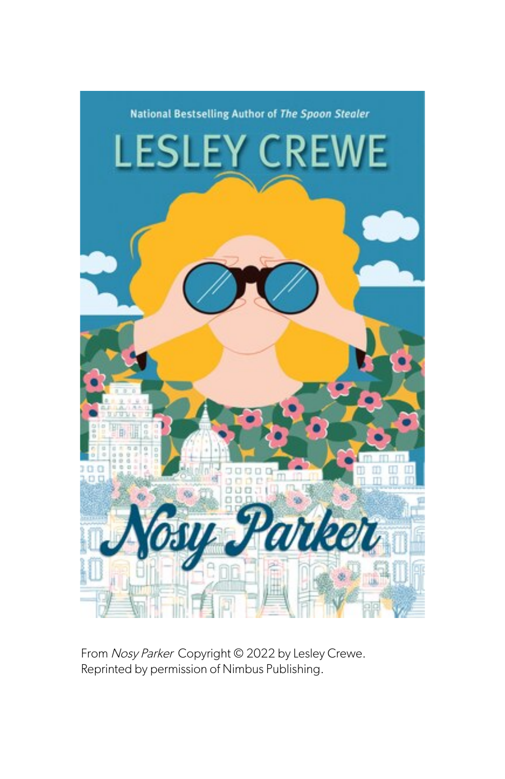

From Nosy Parker Copyright © 2022 by Lesley Crewe. Reprinted by permission of Nimbus Publishing.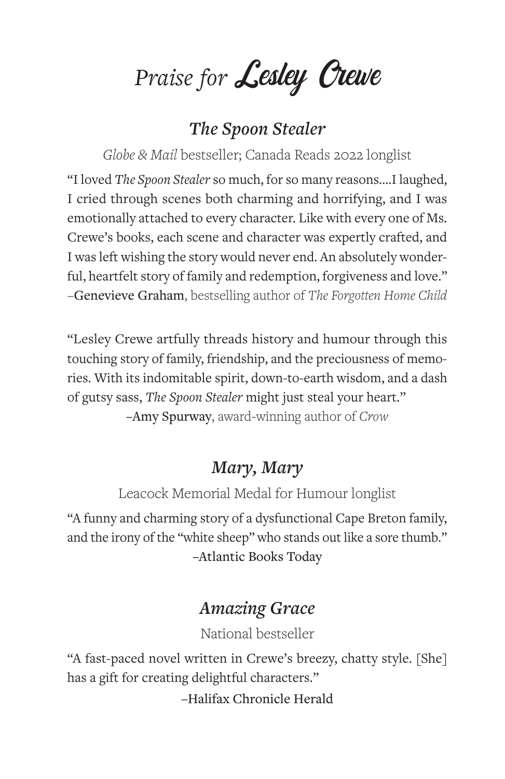Praise for **Lesley Crewe** 

## *The Spoon Stealer*

*Globe & Mail* bestseller; Canada Reads 2022 longlist

"I loved *The Spoon Stealer* so much, for so many reasons.…I laughed, I cried through scenes both charming and horrifying, and I was emotionally attached to every character. Like with every one of Ms. Crewe's books, each scene and character was expertly crafted, and I was left wishing the story would never end. An absolutely wonderful, heartfelt story of family and redemption, forgiveness and love." –Genevieve Graham, bestselling author of *The Forgotten Home Child*

"Lesley Crewe artfully threads history and humour through this touching story of family, friendship, and the preciousness of memories. With its indomitable spirit, down-to-earth wisdom, and a dash of gutsy sass, *The Spoon Stealer* might just steal your heart." –Amy Spurway, award-winning author of *Crow*

#### *Mary, Mary*

Leacock Memorial Medal for Humour longlist

"A funny and charming story of a dysfunctional Cape Breton family, and the irony of the "white sheep" who stands out like a sore thumb." –Atlantic Books Today

# *Amazing Grace*

National bestseller

"A fast-paced novel written in Crewe's breezy, chatty style. [She] has a gift for creating delightful characters."

–Halifax Chronicle Herald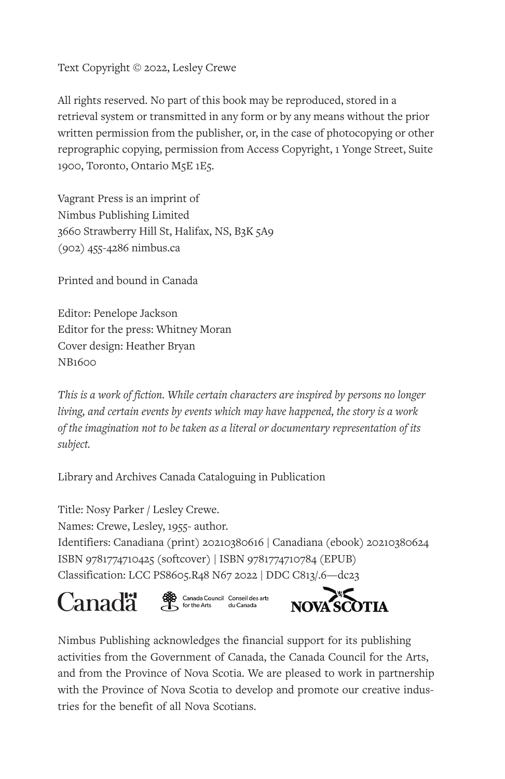Text Copyright © 2022, Lesley Crewe

All rights reserved. No part of this book may be reproduced, stored in a retrieval system or transmitted in any form or by any means without the prior written permission from the publisher, or, in the case of photocopying or other reprographic copying, permission from Access Copyright, 1 Yonge Street, Suite 1900, Toronto, Ontario M5E 1E5.

Vagrant Press is an imprint of Nimbus Publishing Limited 3660 Strawberry Hill St, Halifax, NS, B3K 5A9 (902) 455-4286 nimbus.ca

Printed and bound in Canada

Editor: Penelope Jackson Editor for the press: Whitney Moran Cover design: Heather Bryan **NB1600** 

*This is a work of fiction. While certain characters are inspired by persons no longer living, and certain events by events which may have happened, the story is a work of the imagination not to be taken as a literal or documentary representation of its subject.* 

Library and Archives Canada Cataloguing in Publication

Title: Nosy Parker / Lesley Crewe. Names: Crewe, Lesley, 1955- author. Identifiers: Canadiana (print) 20210380616 | Canadiana (ebook) 20210380624 ISBN 9781774710425 (softcover) | ISBN 9781774710784 (EPUB) Classification: LCC PS8605.R48 N67 2022 | DDC C813/.6—dc23

# Canadä<sup>r</sup>





Nimbus Publishing acknowledges the financial support for its publishing activities from the Government of Canada, the Canada Council for the Arts, and from the Province of Nova Scotia. We are pleased to work in partnership with the Province of Nova Scotia to develop and promote our creative industries for the benefit of all Nova Scotians.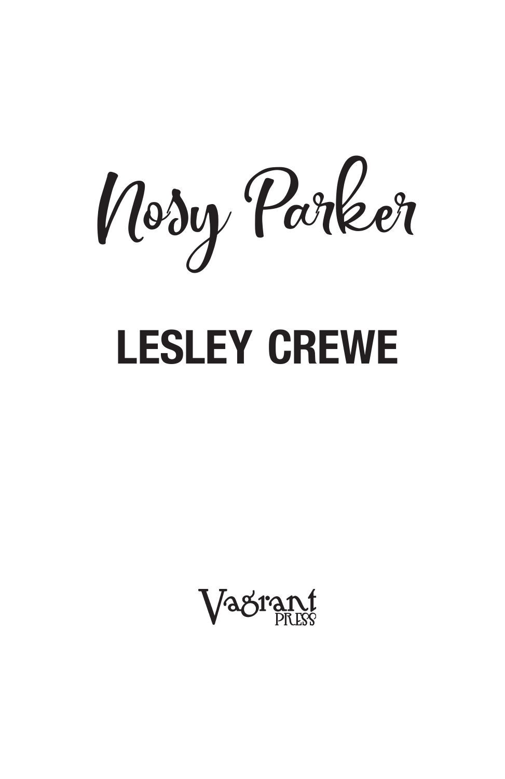Nosy Parker

# **LESLEY CREWE**

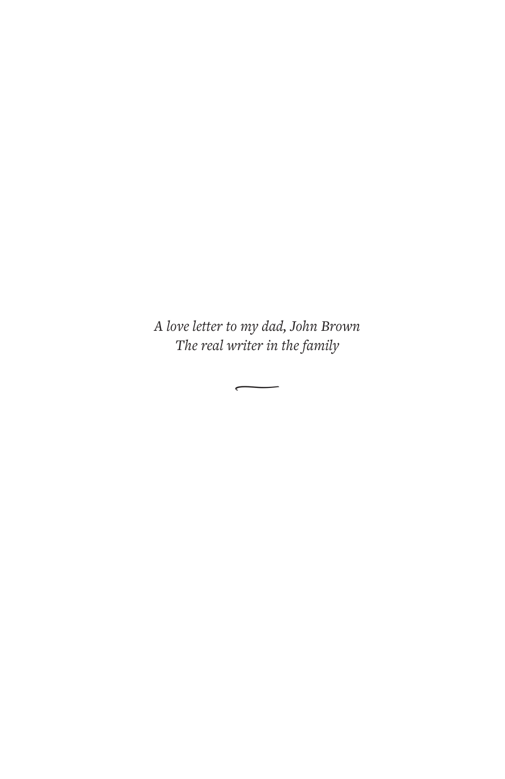*A love letter to my dad, John Brown The real writer in the family*

 $\overline{\phantom{0}}$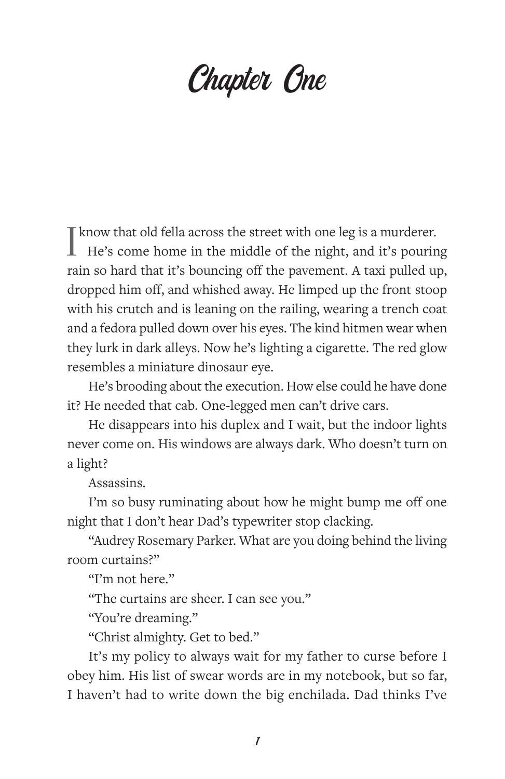# Chapter One

The know that old fella across the street with one leg is a murderer.

 $\perp$  He's come home in the middle of the night, and it's pouring rain so hard that it's bouncing off the pavement. A taxi pulled up, dropped him off, and whished away. He limped up the front stoop with his crutch and is leaning on the railing, wearing a trench coat and a fedora pulled down over his eyes. The kind hitmen wear when they lurk in dark alleys. Now he's lighting a cigarette. The red glow resembles a miniature dinosaur eye.

He's brooding about the execution. How else could he have done it? He needed that cab. One-legged men can't drive cars.

He disappears into his duplex and I wait, but the indoor lights never come on. His windows are always dark. Who doesn't turn on a light?

Assassins.

I'm so busy ruminating about how he might bump me off one night that I don't hear Dad's typewriter stop clacking.

"Audrey Rosemary Parker. What are you doing behind the living room curtains?"

"I'm not here."

"The curtains are sheer. I can see you."

"You're dreaming."

"Christ almighty. Get to bed."

It's my policy to always wait for my father to curse before I obey him. His list of swear words are in my notebook, but so far, I haven't had to write down the big enchilada. Dad thinks I've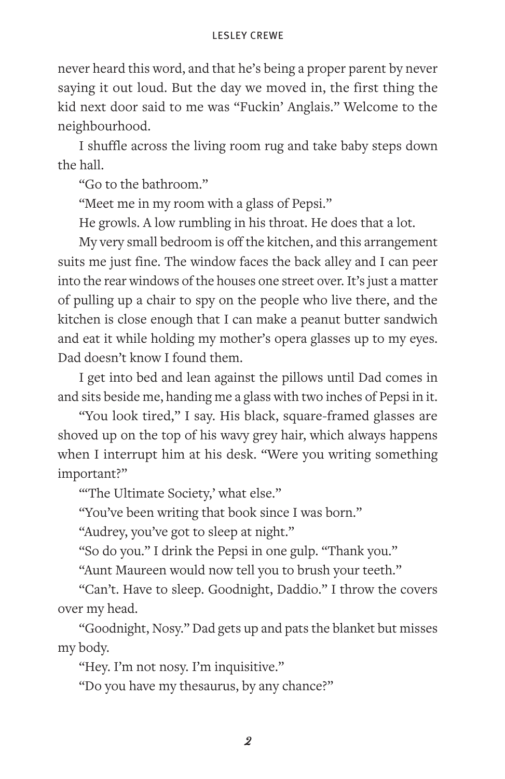never heard this word, and that he's being a proper parent by never saying it out loud. But the day we moved in, the first thing the kid next door said to me was "Fuckin' Anglais." Welcome to the neighbourhood.

I shuffle across the living room rug and take baby steps down the hall.

"Go to the bathroom."

"Meet me in my room with a glass of Pepsi."

He growls. A low rumbling in his throat. He does that a lot.

My very small bedroom is off the kitchen, and this arrangement suits me just fine. The window faces the back alley and I can peer into the rear windows of the houses one street over. It's just a matter of pulling up a chair to spy on the people who live there, and the kitchen is close enough that I can make a peanut butter sandwich and eat it while holding my mother's opera glasses up to my eyes. Dad doesn't know I found them.

I get into bed and lean against the pillows until Dad comes in and sits beside me, handing me a glass with two inches of Pepsi in it.

"You look tired," I say. His black, square-framed glasses are shoved up on the top of his wavy grey hair, which always happens when I interrupt him at his desk. "Were you writing something important?"

"The Ultimate Society,' what else."

"You've been writing that book since I was born."

"Audrey, you've got to sleep at night."

"So do you." I drink the Pepsi in one gulp. "Thank you."

"Aunt Maureen would now tell you to brush your teeth."

"Can't. Have to sleep. Goodnight, Daddio." I throw the covers over my head.

"Goodnight, Nosy." Dad gets up and pats the blanket but misses my body.

"Hey. I'm not nosy. I'm inquisitive."

"Do you have my thesaurus, by any chance?"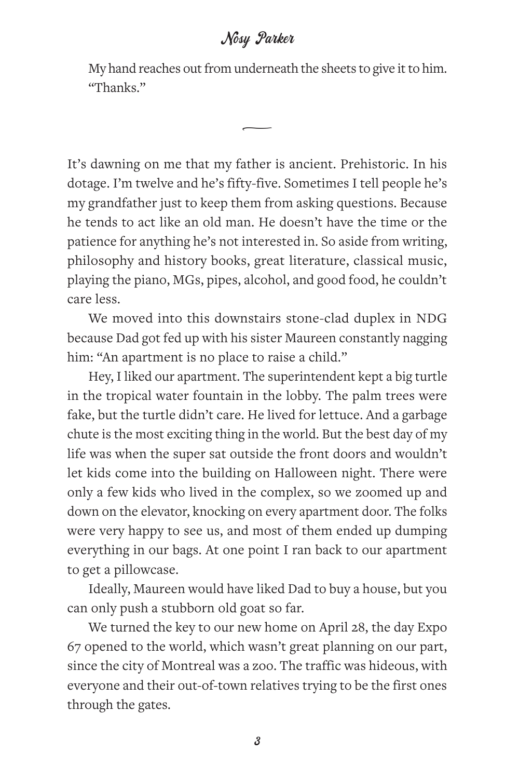$\overline{\phantom{0}}$ 

My hand reaches out from underneath the sheets to give it to him. "Thanks."

It's dawning on me that my father is ancient. Prehistoric. In his dotage. I'm twelve and he's fifty-five. Sometimes I tell people he's my grandfather just to keep them from asking questions. Because he tends to act like an old man. He doesn't have the time or the patience for anything he's not interested in. So aside from writing, philosophy and history books, great literature, classical music, playing the piano, MGs, pipes, alcohol, and good food, he couldn't care less.

We moved into this downstairs stone-clad duplex in NDG because Dad got fed up with his sister Maureen constantly nagging him: "An apartment is no place to raise a child."

Hey, I liked our apartment. The superintendent kept a big turtle in the tropical water fountain in the lobby. The palm trees were fake, but the turtle didn't care. He lived for lettuce. And a garbage chute is the most exciting thing in the world. But the best day of my life was when the super sat outside the front doors and wouldn't let kids come into the building on Halloween night. There were only a few kids who lived in the complex, so we zoomed up and down on the elevator, knocking on every apartment door. The folks were very happy to see us, and most of them ended up dumping everything in our bags. At one point I ran back to our apartment to get a pillowcase.

Ideally, Maureen would have liked Dad to buy a house, but you can only push a stubborn old goat so far.

We turned the key to our new home on April 28, the day Expo 67 opened to the world, which wasn't great planning on our part, since the city of Montreal was a zoo. The traffic was hideous, with everyone and their out-of-town relatives trying to be the first ones through the gates.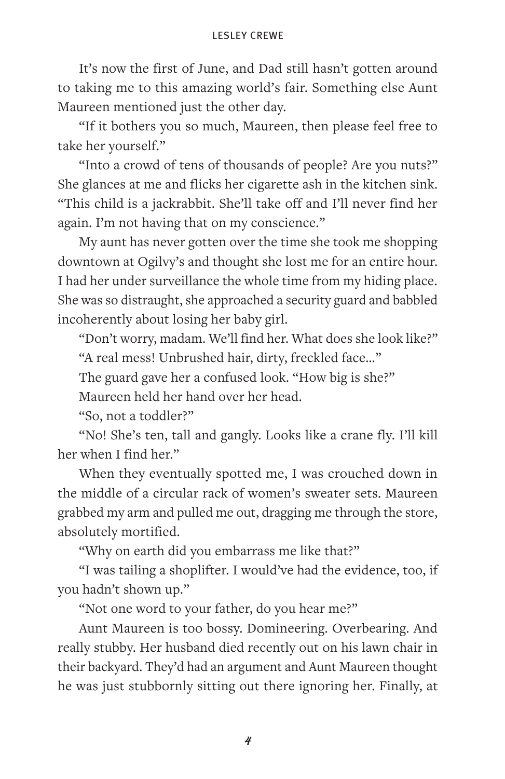It's now the first of June, and Dad still hasn't gotten around to taking me to this amazing world's fair. Something else Aunt Maureen mentioned just the other day.

"If it bothers you so much, Maureen, then please feel free to take her yourself."

"Into a crowd of tens of thousands of people? Are you nuts?" She glances at me and flicks her cigarette ash in the kitchen sink. "This child is a jackrabbit. She'll take off and I'll never find her again. I'm not having that on my conscience."

My aunt has never gotten over the time she took me shopping downtown at Ogilvy's and thought she lost me for an entire hour. I had her under surveillance the whole time from my hiding place. She was so distraught, she approached a security guard and babbled incoherently about losing her baby girl.

"Don't worry, madam. We'll find her. What does she look like?" "A real mess! Unbrushed hair, dirty, freckled face…"

The guard gave her a confused look. "How big is she?"

Maureen held her hand over her head.

"So, not a toddler?"

"No! She's ten, tall and gangly. Looks like a crane fly. I'll kill her when I find her."

When they eventually spotted me, I was crouched down in the middle of a circular rack of women's sweater sets. Maureen grabbed my arm and pulled me out, dragging me through the store, absolutely mortified.

"Why on earth did you embarrass me like that?"

"I was tailing a shoplifter. I would've had the evidence, too, if you hadn't shown up."

"Not one word to your father, do you hear me?"

Aunt Maureen is too bossy. Domineering. Overbearing. And really stubby. Her husband died recently out on his lawn chair in their backyard. They'd had an argument and Aunt Maureen thought he was just stubbornly sitting out there ignoring her. Finally, at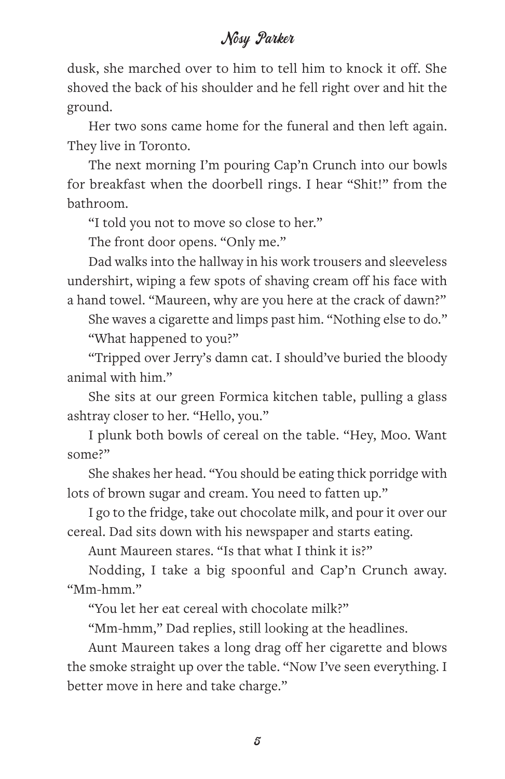dusk, she marched over to him to tell him to knock it off. She shoved the back of his shoulder and he fell right over and hit the ground.

Her two sons came home for the funeral and then left again. They live in Toronto.

The next morning I'm pouring Cap'n Crunch into our bowls for breakfast when the doorbell rings. I hear "Shit!" from the bathroom.

"I told you not to move so close to her."

The front door opens. "Only me."

Dad walks into the hallway in his work trousers and sleeveless undershirt, wiping a few spots of shaving cream off his face with a hand towel. "Maureen, why are you here at the crack of dawn?"

She waves a cigarette and limps past him. "Nothing else to do." "What happened to you?"

"Tripped over Jerry's damn cat. I should've buried the bloody animal with him."

She sits at our green Formica kitchen table, pulling a glass ashtray closer to her. "Hello, you."

I plunk both bowls of cereal on the table. "Hey, Moo. Want some?"

She shakes her head. "You should be eating thick porridge with lots of brown sugar and cream. You need to fatten up."

I go to the fridge, take out chocolate milk, and pour it over our cereal. Dad sits down with his newspaper and starts eating.

Aunt Maureen stares. "Is that what I think it is?"

Nodding, I take a big spoonful and Cap'n Crunch away. "Mm-hmm."

"You let her eat cereal with chocolate milk?"

"Mm-hmm," Dad replies, still looking at the headlines.

Aunt Maureen takes a long drag off her cigarette and blows the smoke straight up over the table. "Now I've seen everything. I better move in here and take charge."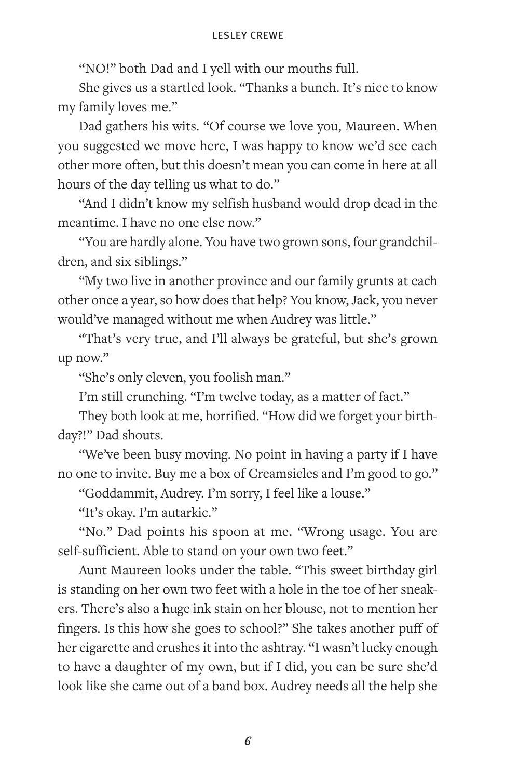#### LESLEY CREWE

"NO!" both Dad and I yell with our mouths full.

She gives us a startled look. "Thanks a bunch. It's nice to know my family loves me."

Dad gathers his wits. "Of course we love you, Maureen. When you suggested we move here, I was happy to know we'd see each other more often, but this doesn't mean you can come in here at all hours of the day telling us what to do."

"And I didn't know my selfish husband would drop dead in the meantime. I have no one else now."

"You are hardly alone. You have two grown sons, four grandchildren, and six siblings."

"My two live in another province and our family grunts at each other once a year, so how does that help? You know, Jack, you never would've managed without me when Audrey was little."

"That's very true, and I'll always be grateful, but she's grown up now."

"She's only eleven, you foolish man."

I'm still crunching. "I'm twelve today, as a matter of fact."

They both look at me, horrified. "How did we forget your birthday?!" Dad shouts.

"We've been busy moving. No point in having a party if I have no one to invite. Buy me a box of Creamsicles and I'm good to go."

"Goddammit, Audrey. I'm sorry, I feel like a louse."

"It's okay. I'm autarkic."

"No." Dad points his spoon at me. "Wrong usage. You are self-sufficient. Able to stand on your own two feet."

Aunt Maureen looks under the table. "This sweet birthday girl is standing on her own two feet with a hole in the toe of her sneakers. There's also a huge ink stain on her blouse, not to mention her fingers. Is this how she goes to school?" She takes another puff of her cigarette and crushes it into the ashtray. "I wasn't lucky enough to have a daughter of my own, but if I did, you can be sure she'd look like she came out of a band box. Audrey needs all the help she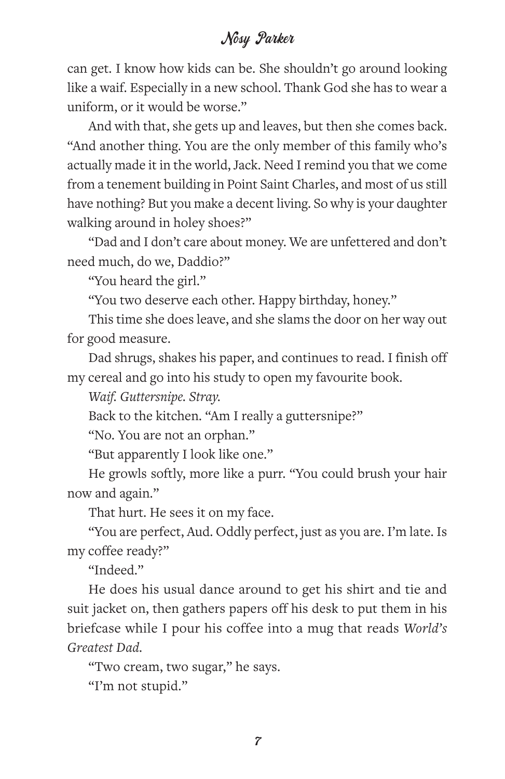can get. I know how kids can be. She shouldn't go around looking like a waif. Especially in a new school. Thank God she has to wear a uniform, or it would be worse."

And with that, she gets up and leaves, but then she comes back. "And another thing. You are the only member of this family who's actually made it in the world, Jack. Need I remind you that we come from a tenement building in Point Saint Charles, and most of us still have nothing? But you make a decent living. So why is your daughter walking around in holey shoes?"

"Dad and I don't care about money. We are unfettered and don't need much, do we, Daddio?"

"You heard the girl."

"You two deserve each other. Happy birthday, honey."

This time she does leave, and she slams the door on her way out for good measure.

Dad shrugs, shakes his paper, and continues to read. I finish off my cereal and go into his study to open my favourite book.

*Waif. Guttersnipe. Stray.*

Back to the kitchen. "Am I really a guttersnipe?"

"No. You are not an orphan."

"But apparently I look like one."

He growls softly, more like a purr. "You could brush your hair now and again."

That hurt. He sees it on my face.

"You are perfect, Aud. Oddly perfect, just as you are. I'm late. Is my coffee ready?"

"Indeed."

He does his usual dance around to get his shirt and tie and suit jacket on, then gathers papers off his desk to put them in his briefcase while I pour his coffee into a mug that reads *World's Greatest Dad.*

"Two cream, two sugar," he says.

"I'm not stupid."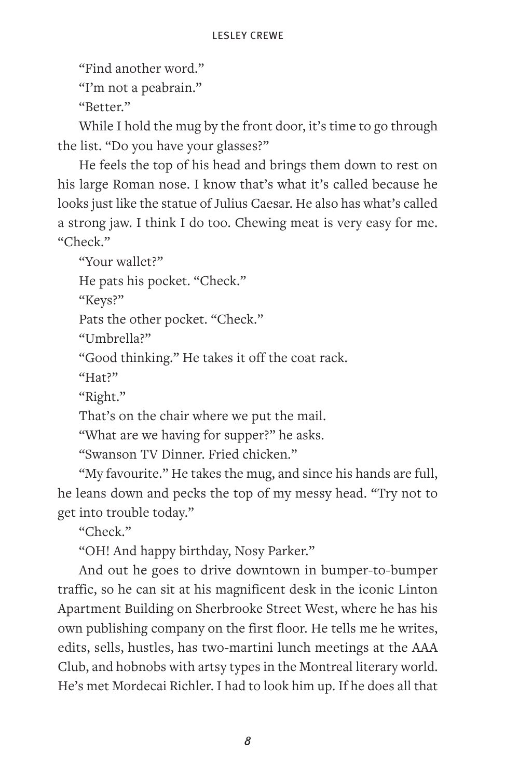"Find another word."

"I'm not a peabrain."

"Better."

While I hold the mug by the front door, it's time to go through the list. "Do you have your glasses?"

He feels the top of his head and brings them down to rest on his large Roman nose. I know that's what it's called because he looks just like the statue of Julius Caesar. He also has what's called a strong jaw. I think I do too. Chewing meat is very easy for me. "Check."

"Your wallet?"

He pats his pocket. "Check."

"Keys?"

Pats the other pocket. "Check."

"Umbrella?"

"Good thinking." He takes it off the coat rack.

"Hat?"

"Right."

That's on the chair where we put the mail.

"What are we having for supper?" he asks.

"Swanson TV Dinner. Fried chicken."

"My favourite." He takes the mug, and since his hands are full, he leans down and pecks the top of my messy head. "Try not to get into trouble today."

"Check."

"OH! And happy birthday, Nosy Parker."

And out he goes to drive downtown in bumper-to-bumper traffic, so he can sit at his magnificent desk in the iconic Linton Apartment Building on Sherbrooke Street West, where he has his own publishing company on the first floor. He tells me he writes, edits, sells, hustles, has two-martini lunch meetings at the AAA Club, and hobnobs with artsy types in the Montreal literary world. He's met Mordecai Richler. I had to look him up. If he does all that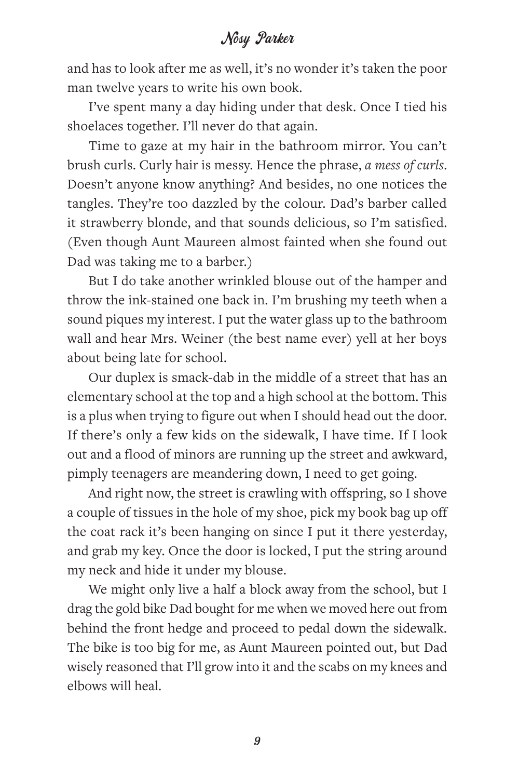and has to look after me as well, it's no wonder it's taken the poor man twelve years to write his own book.

I've spent many a day hiding under that desk. Once I tied his shoelaces together. I'll never do that again.

Time to gaze at my hair in the bathroom mirror. You can't brush curls. Curly hair is messy. Hence the phrase, *a mess of curls*. Doesn't anyone know anything? And besides, no one notices the tangles. They're too dazzled by the colour. Dad's barber called it strawberry blonde, and that sounds delicious, so I'm satisfied. (Even though Aunt Maureen almost fainted when she found out Dad was taking me to a barber.)

But I do take another wrinkled blouse out of the hamper and throw the ink-stained one back in. I'm brushing my teeth when a sound piques my interest. I put the water glass up to the bathroom wall and hear Mrs. Weiner (the best name ever) yell at her boys about being late for school.

Our duplex is smack-dab in the middle of a street that has an elementary school at the top and a high school at the bottom. This is a plus when trying to figure out when I should head out the door. If there's only a few kids on the sidewalk, I have time. If I look out and a flood of minors are running up the street and awkward, pimply teenagers are meandering down, I need to get going.

And right now, the street is crawling with offspring, so I shove a couple of tissues in the hole of my shoe, pick my book bag up off the coat rack it's been hanging on since I put it there yesterday, and grab my key. Once the door is locked, I put the string around my neck and hide it under my blouse.

We might only live a half a block away from the school, but I drag the gold bike Dad bought for me when we moved here out from behind the front hedge and proceed to pedal down the sidewalk. The bike is too big for me, as Aunt Maureen pointed out, but Dad wisely reasoned that I'll grow into it and the scabs on my knees and elbows will heal.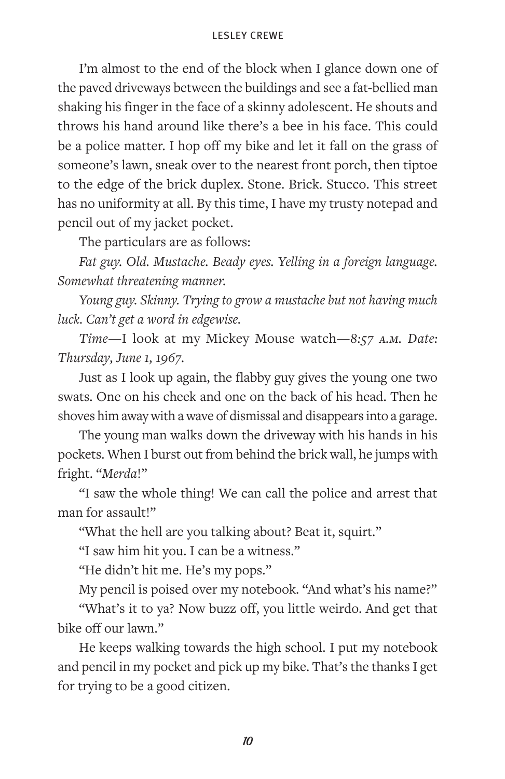#### LESLEY CREWE

I'm almost to the end of the block when I glance down one of the paved driveways between the buildings and see a fat-bellied man shaking his finger in the face of a skinny adolescent. He shouts and throws his hand around like there's a bee in his face. This could be a police matter. I hop off my bike and let it fall on the grass of someone's lawn, sneak over to the nearest front porch, then tiptoe to the edge of the brick duplex. Stone. Brick. Stucco. This street has no uniformity at all. By this time, I have my trusty notepad and pencil out of my jacket pocket.

The particulars are as follows:

*Fat guy. Old. Mustache. Beady eyes. Yelling in a foreign language. Somewhat threatening manner.*

*Young guy. Skinny. Trying to grow a mustache but not having much luck. Can't get a word in edgewise.*

*Time—*I look at my Mickey Mouse watch—*8:57 a.m. Date: Thursday, June 1, 1967.*

Just as I look up again, the flabby guy gives the young one two swats. One on his cheek and one on the back of his head. Then he shoves him away with a wave of dismissal and disappears into a garage.

The young man walks down the driveway with his hands in his pockets. When I burst out from behind the brick wall, he jumps with fright. "*Merda*!"

"I saw the whole thing! We can call the police and arrest that man for assault!"

"What the hell are you talking about? Beat it, squirt."

"I saw him hit you. I can be a witness."

"He didn't hit me. He's my pops."

My pencil is poised over my notebook. "And what's his name?"

"What's it to ya? Now buzz off, you little weirdo. And get that bike off our lawn."

He keeps walking towards the high school. I put my notebook and pencil in my pocket and pick up my bike. That's the thanks I get for trying to be a good citizen.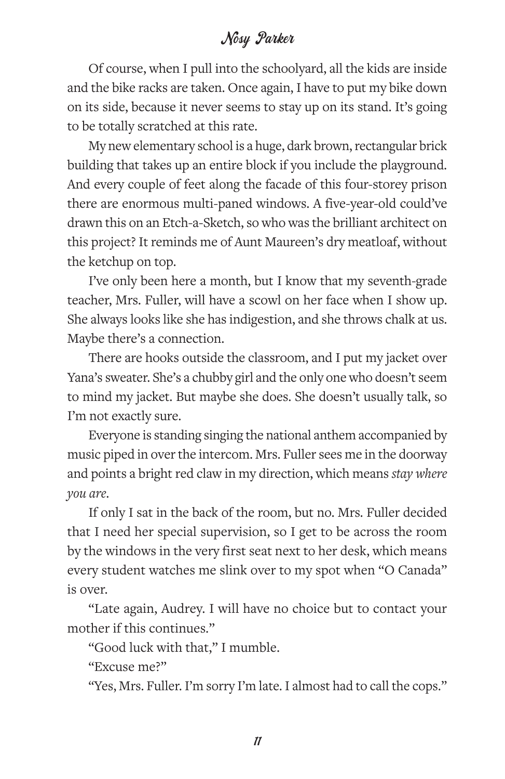Of course, when I pull into the schoolyard, all the kids are inside and the bike racks are taken. Once again, I have to put my bike down on its side, because it never seems to stay up on its stand. It's going to be totally scratched at this rate.

My new elementary school is a huge, dark brown, rectangular brick building that takes up an entire block if you include the playground. And every couple of feet along the facade of this four-storey prison there are enormous multi-paned windows. A five-year-old could've drawn this on an Etch-a-Sketch, so who was the brilliant architect on this project? It reminds me of Aunt Maureen's dry meatloaf, without the ketchup on top.

I've only been here a month, but I know that my seventh-grade teacher, Mrs. Fuller, will have a scowl on her face when I show up. She always looks like she has indigestion, and she throws chalk at us. Maybe there's a connection.

There are hooks outside the classroom, and I put my jacket over Yana's sweater. She's a chubby girl and the only one who doesn't seem to mind my jacket. But maybe she does. She doesn't usually talk, so I'm not exactly sure.

Everyone is standing singing the national anthem accompanied by music piped in over the intercom. Mrs. Fuller sees me in the doorway and points a bright red claw in my direction, which means *stay where you are*.

If only I sat in the back of the room, but no. Mrs. Fuller decided that I need her special supervision, so I get to be across the room by the windows in the very first seat next to her desk, which means every student watches me slink over to my spot when "O Canada" is over.

"Late again, Audrey. I will have no choice but to contact your mother if this continues."

"Good luck with that," I mumble.

"Excuse me?"

"Yes, Mrs. Fuller. I'm sorry I'm late. I almost had to call the cops."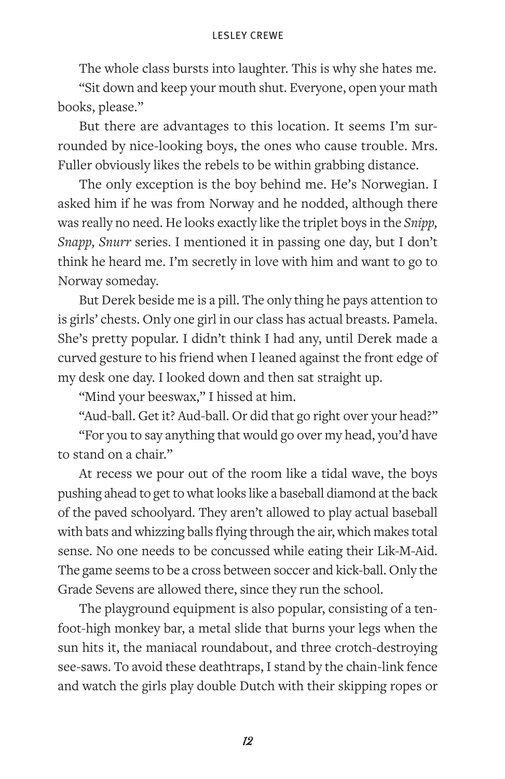The whole class bursts into laughter. This is why she hates me.

"Sit down and keep your mouth shut. Everyone, open your math books, please."

But there are advantages to this location. It seems I'm surrounded by nice-looking boys, the ones who cause trouble. Mrs. Fuller obviously likes the rebels to be within grabbing distance.

The only exception is the boy behind me. He's Norwegian. I asked him if he was from Norway and he nodded, although there was really no need. He looks exactly like the triplet boys in the *Snipp, Snapp, Snurr* series. I mentioned it in passing one day, but I don't think he heard me. I'm secretly in love with him and want to go to Norway someday.

But Derek beside me is a pill. The only thing he pays attention to is girls' chests. Only one girl in our class has actual breasts. Pamela. She's pretty popular. I didn't think I had any, until Derek made a curved gesture to his friend when I leaned against the front edge of my desk one day. I looked down and then sat straight up.

"Mind your beeswax," I hissed at him.

"Aud-ball. Get it? Aud-ball. Or did that go right over your head?" "For you to say anything that would go over my head, you'd have to stand on a chair."

At recess we pour out of the room like a tidal wave, the boys pushing ahead to get to what looks like a baseball diamond at the back of the paved schoolyard. They aren't allowed to play actual baseball with bats and whizzing balls flying through the air, which makes total sense. No one needs to be concussed while eating their Lik-M-Aid. The game seems to be a cross between soccer and kick-ball. Only the Grade Sevens are allowed there, since they run the school.

The playground equipment is also popular, consisting of a tenfoot-high monkey bar, a metal slide that burns your legs when the sun hits it, the maniacal roundabout, and three crotch-destroying see-saws. To avoid these deathtraps, I stand by the chain-link fence and watch the girls play double Dutch with their skipping ropes or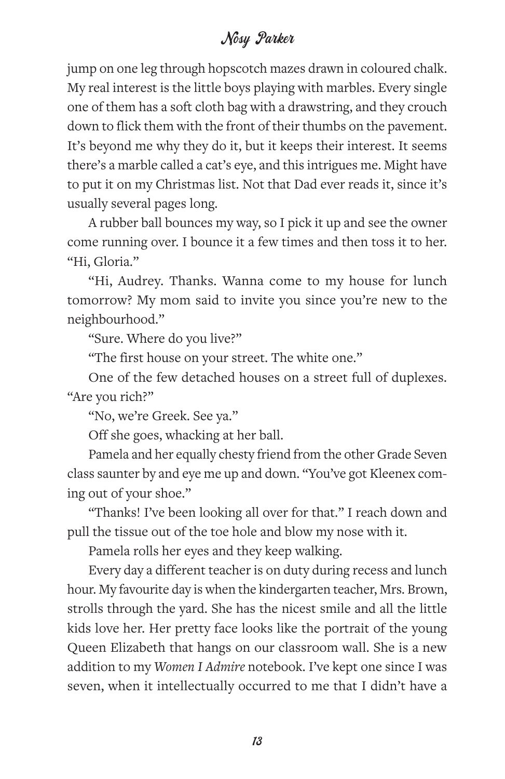jump on one leg through hopscotch mazes drawn in coloured chalk. My real interest is the little boys playing with marbles. Every single one of them has a soft cloth bag with a drawstring, and they crouch down to flick them with the front of their thumbs on the pavement. It's beyond me why they do it, but it keeps their interest. It seems there's a marble called a cat's eye, and this intrigues me. Might have to put it on my Christmas list. Not that Dad ever reads it, since it's usually several pages long.

A rubber ball bounces my way, so I pick it up and see the owner come running over. I bounce it a few times and then toss it to her. "Hi, Gloria."

"Hi, Audrey. Thanks. Wanna come to my house for lunch tomorrow? My mom said to invite you since you're new to the neighbourhood."

"Sure. Where do you live?"

"The first house on your street. The white one."

One of the few detached houses on a street full of duplexes. "Are you rich?"

"No, we're Greek. See ya."

Off she goes, whacking at her ball.

Pamela and her equally chesty friend from the other Grade Seven class saunter by and eye me up and down. "You've got Kleenex coming out of your shoe."

"Thanks! I've been looking all over for that." I reach down and pull the tissue out of the toe hole and blow my nose with it.

Pamela rolls her eyes and they keep walking.

Every day a different teacher is on duty during recess and lunch hour. My favourite day is when the kindergarten teacher, Mrs. Brown, strolls through the yard. She has the nicest smile and all the little kids love her. Her pretty face looks like the portrait of the young Queen Elizabeth that hangs on our classroom wall. She is a new addition to my *Women I Admire* notebook. I've kept one since I was seven, when it intellectually occurred to me that I didn't have a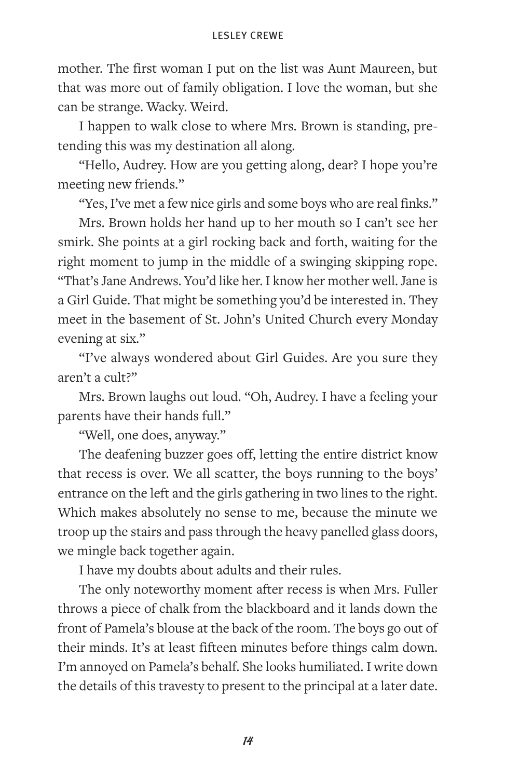mother. The first woman I put on the list was Aunt Maureen, but that was more out of family obligation. I love the woman, but she can be strange. Wacky. Weird.

I happen to walk close to where Mrs. Brown is standing, pretending this was my destination all along.

"Hello, Audrey. How are you getting along, dear? I hope you're meeting new friends."

"Yes, I've met a few nice girls and some boys who are real finks."

Mrs. Brown holds her hand up to her mouth so I can't see her smirk. She points at a girl rocking back and forth, waiting for the right moment to jump in the middle of a swinging skipping rope. "That's Jane Andrews. You'd like her. I know her mother well. Jane is a Girl Guide. That might be something you'd be interested in. They meet in the basement of St. John's United Church every Monday evening at six."

"I've always wondered about Girl Guides. Are you sure they aren't a cult?"

Mrs. Brown laughs out loud. "Oh, Audrey. I have a feeling your parents have their hands full."

"Well, one does, anyway."

The deafening buzzer goes off, letting the entire district know that recess is over. We all scatter, the boys running to the boys' entrance on the left and the girls gathering in two lines to the right. Which makes absolutely no sense to me, because the minute we troop up the stairs and pass through the heavy panelled glass doors, we mingle back together again.

I have my doubts about adults and their rules.

The only noteworthy moment after recess is when Mrs. Fuller throws a piece of chalk from the blackboard and it lands down the front of Pamela's blouse at the back of the room. The boys go out of their minds. It's at least fifteen minutes before things calm down. I'm annoyed on Pamela's behalf. She looks humiliated. I write down the details of this travesty to present to the principal at a later date.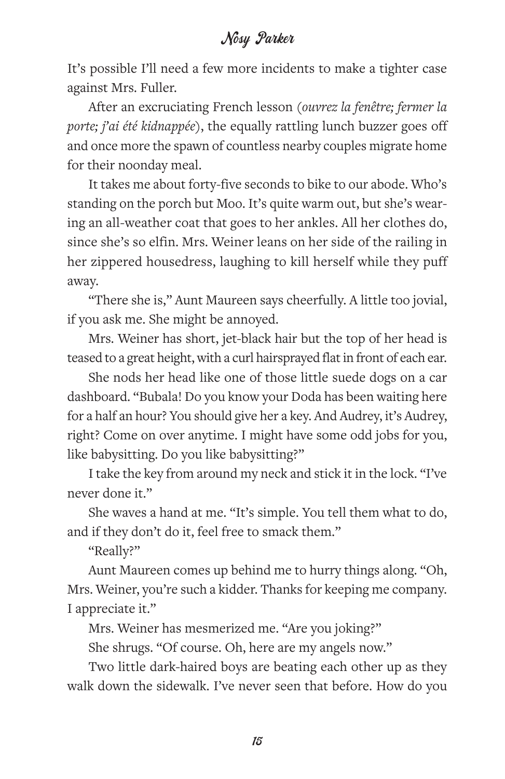It's possible I'll need a few more incidents to make a tighter case against Mrs. Fuller.

After an excruciating French lesson (*ouvrez la fenêtre; fermer la porte; j'ai été kidnappée*), the equally rattling lunch buzzer goes off and once more the spawn of countless nearby couples migrate home for their noonday meal.

It takes me about forty-five seconds to bike to our abode. Who's standing on the porch but Moo. It's quite warm out, but she's wearing an all-weather coat that goes to her ankles. All her clothes do, since she's so elfin. Mrs. Weiner leans on her side of the railing in her zippered housedress, laughing to kill herself while they puff away.

"There she is," Aunt Maureen says cheerfully. A little too jovial, if you ask me. She might be annoyed.

Mrs. Weiner has short, jet-black hair but the top of her head is teased to a great height, with a curl hairsprayed flat in front of each ear.

She nods her head like one of those little suede dogs on a car dashboard. "Bubala! Do you know your Doda has been waiting here for a half an hour? You should give her a key. And Audrey, it's Audrey, right? Come on over anytime. I might have some odd jobs for you, like babysitting. Do you like babysitting?"

I take the key from around my neck and stick it in the lock. "I've never done it."

She waves a hand at me. "It's simple. You tell them what to do, and if they don't do it, feel free to smack them."

"Really?"

Aunt Maureen comes up behind me to hurry things along. "Oh, Mrs. Weiner, you're such a kidder. Thanks for keeping me company. I appreciate it."

Mrs. Weiner has mesmerized me. "Are you joking?"

She shrugs. "Of course. Oh, here are my angels now."

Two little dark-haired boys are beating each other up as they walk down the sidewalk. I've never seen that before. How do you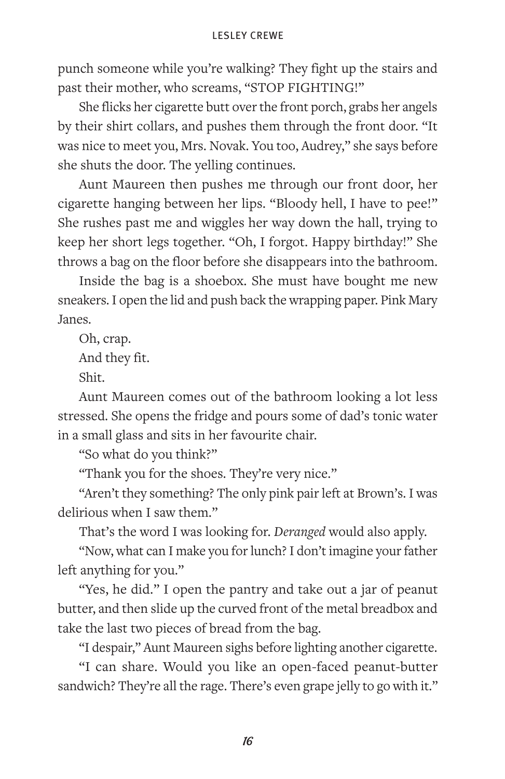punch someone while you're walking? They fight up the stairs and past their mother, who screams, "STOP FIGHTING!"

She flicks her cigarette butt over the front porch, grabs her angels by their shirt collars, and pushes them through the front door. "It was nice to meet you, Mrs. Novak. You too, Audrey," she says before she shuts the door. The yelling continues.

Aunt Maureen then pushes me through our front door, her cigarette hanging between her lips. "Bloody hell, I have to pee!" She rushes past me and wiggles her way down the hall, trying to keep her short legs together. "Oh, I forgot. Happy birthday!" She throws a bag on the floor before she disappears into the bathroom.

Inside the bag is a shoebox. She must have bought me new sneakers. I open the lid and push back the wrapping paper. Pink Mary Janes.

Oh, crap.

And they fit.

Shit.

Aunt Maureen comes out of the bathroom looking a lot less stressed. She opens the fridge and pours some of dad's tonic water in a small glass and sits in her favourite chair.

"So what do you think?"

"Thank you for the shoes. They're very nice."

"Aren't they something? The only pink pair left at Brown's. I was delirious when I saw them."

That's the word I was looking for. *Deranged* would also apply.

"Now, what can I make you for lunch? I don't imagine your father left anything for you."

"Yes, he did." I open the pantry and take out a jar of peanut butter, and then slide up the curved front of the metal breadbox and take the last two pieces of bread from the bag.

"I despair," Aunt Maureen sighs before lighting another cigarette.

"I can share. Would you like an open-faced peanut-butter sandwich? They're all the rage. There's even grape jelly to go with it."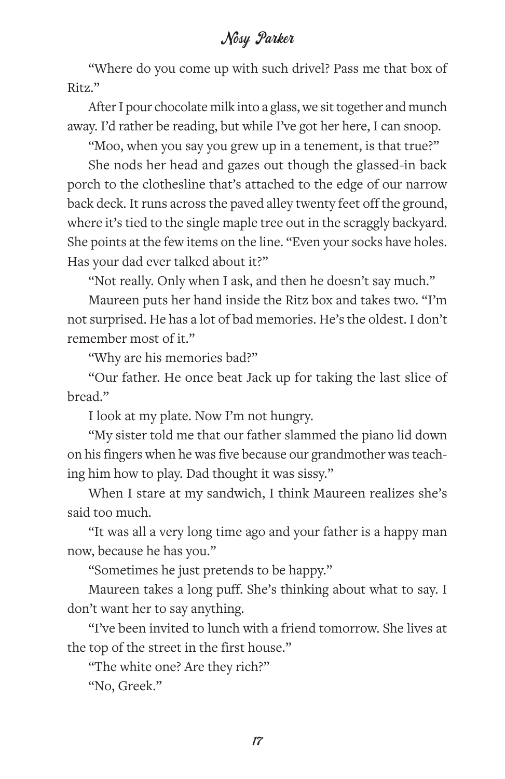"Where do you come up with such drivel? Pass me that box of Ritz."

After I pour chocolate milk into a glass, we sit together and munch away. I'd rather be reading, but while I've got her here, I can snoop.

"Moo, when you say you grew up in a tenement, is that true?"

She nods her head and gazes out though the glassed-in back porch to the clothesline that's attached to the edge of our narrow back deck. It runs across the paved alley twenty feet off the ground, where it's tied to the single maple tree out in the scraggly backyard. She points at the few items on the line. "Even your socks have holes. Has your dad ever talked about it?"

"Not really. Only when I ask, and then he doesn't say much."

Maureen puts her hand inside the Ritz box and takes two. "I'm not surprised. He has a lot of bad memories. He's the oldest. I don't remember most of it."

"Why are his memories bad?"

"Our father. He once beat Jack up for taking the last slice of bread."

I look at my plate. Now I'm not hungry.

"My sister told me that our father slammed the piano lid down on his fingers when he was five because our grandmother was teaching him how to play. Dad thought it was sissy."

When I stare at my sandwich, I think Maureen realizes she's said too much.

"It was all a very long time ago and your father is a happy man now, because he has you."

"Sometimes he just pretends to be happy."

Maureen takes a long puff. She's thinking about what to say. I don't want her to say anything.

"I've been invited to lunch with a friend tomorrow. She lives at the top of the street in the first house."

"The white one? Are they rich?"

"No, Greek."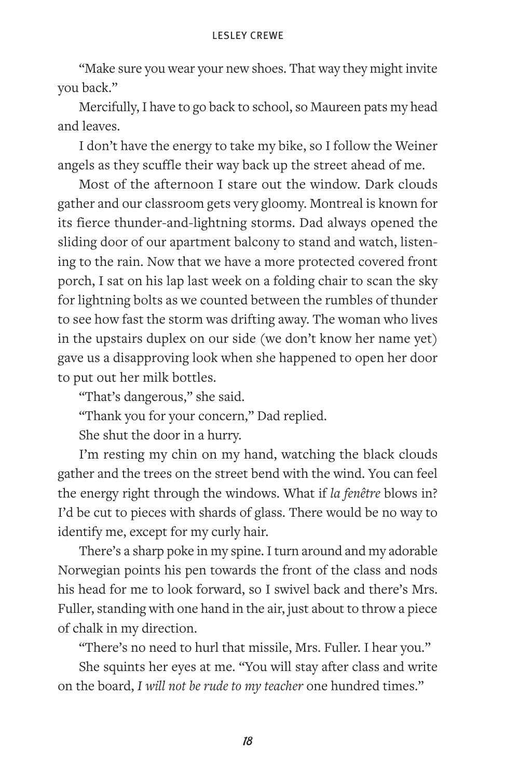#### LESLEY CREWE

"Make sure you wear your new shoes. That way they might invite you back."

Mercifully, I have to go back to school, so Maureen pats my head and leaves.

I don't have the energy to take my bike, so I follow the Weiner angels as they scuffle their way back up the street ahead of me.

Most of the afternoon I stare out the window. Dark clouds gather and our classroom gets very gloomy. Montreal is known for its fierce thunder-and-lightning storms. Dad always opened the sliding door of our apartment balcony to stand and watch, listening to the rain. Now that we have a more protected covered front porch, I sat on his lap last week on a folding chair to scan the sky for lightning bolts as we counted between the rumbles of thunder to see how fast the storm was drifting away. The woman who lives in the upstairs duplex on our side (we don't know her name yet) gave us a disapproving look when she happened to open her door to put out her milk bottles.

"That's dangerous," she said.

"Thank you for your concern," Dad replied.

She shut the door in a hurry.

I'm resting my chin on my hand, watching the black clouds gather and the trees on the street bend with the wind. You can feel the energy right through the windows. What if *la fenêtre* blows in? I'd be cut to pieces with shards of glass. There would be no way to identify me, except for my curly hair.

There's a sharp poke in my spine. I turn around and my adorable Norwegian points his pen towards the front of the class and nods his head for me to look forward, so I swivel back and there's Mrs. Fuller, standing with one hand in the air, just about to throw a piece of chalk in my direction.

"There's no need to hurl that missile, Mrs. Fuller. I hear you."

She squints her eyes at me. "You will stay after class and write on the board, *I will not be rude to my teacher* one hundred times."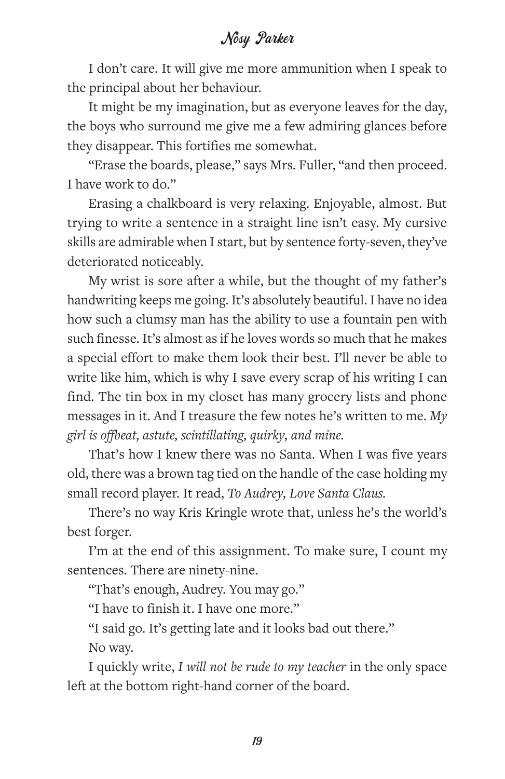I don't care. It will give me more ammunition when I speak to the principal about her behaviour.

It might be my imagination, but as everyone leaves for the day, the boys who surround me give me a few admiring glances before they disappear. This fortifies me somewhat.

"Erase the boards, please," says Mrs. Fuller, "and then proceed. I have work to do."

Erasing a chalkboard is very relaxing. Enjoyable, almost. But trying to write a sentence in a straight line isn't easy. My cursive skills are admirable when I start, but by sentence forty-seven, they've deteriorated noticeably.

My wrist is sore after a while, but the thought of my father's handwriting keeps me going. It's absolutely beautiful. I have no idea how such a clumsy man has the ability to use a fountain pen with such finesse. It's almost as if he loves words so much that he makes a special effort to make them look their best. I'll never be able to write like him, which is why I save every scrap of his writing I can find. The tin box in my closet has many grocery lists and phone messages in it. And I treasure the few notes he's written to me. *My girl is offbeat, astute, scintillating, quirky, and mine.*

That's how I knew there was no Santa. When I was five years old, there was a brown tag tied on the handle of the case holding my small record player. It read, *To Audrey, Love Santa Claus.*

There's no way Kris Kringle wrote that, unless he's the world's best forger.

I'm at the end of this assignment. To make sure, I count my sentences. There are ninety-nine.

"That's enough, Audrey. You may go."

"I have to finish it. I have one more."

"I said go. It's getting late and it looks bad out there."

No way.

I quickly write, *I will not be rude to my teacher* in the only space left at the bottom right-hand corner of the board.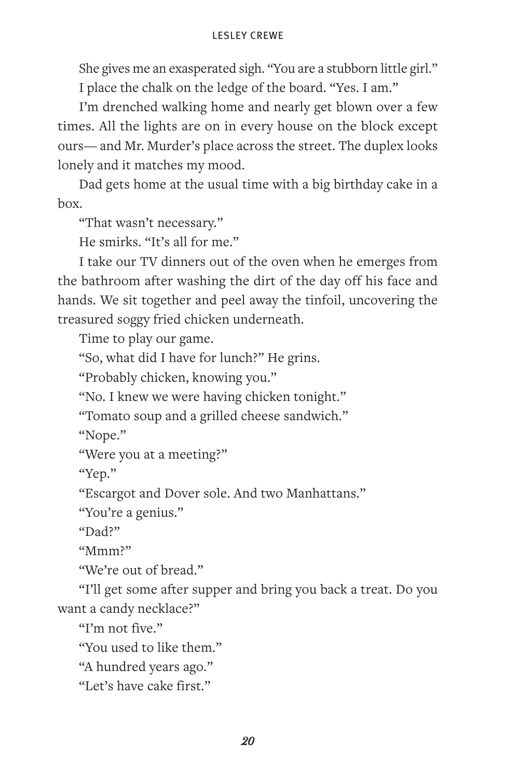She gives me an exasperated sigh. "You are a stubborn little girl." I place the chalk on the ledge of the board. "Yes. I am."

I'm drenched walking home and nearly get blown over a few times. All the lights are on in every house on the block except ours— and Mr. Murder's place across the street. The duplex looks lonely and it matches my mood.

Dad gets home at the usual time with a big birthday cake in a box.

"That wasn't necessary."

He smirks. "It's all for me."

I take our TV dinners out of the oven when he emerges from the bathroom after washing the dirt of the day off his face and hands. We sit together and peel away the tinfoil, uncovering the treasured soggy fried chicken underneath.

Time to play our game.

"So, what did I have for lunch?" He grins.

"Probably chicken, knowing you."

"No. I knew we were having chicken tonight."

"Tomato soup and a grilled cheese sandwich."

"Nope."

"Were you at a meeting?"

"Yep."

"Escargot and Dover sole. And two Manhattans."

"You're a genius."

"Dad?"

"Mmm?"

"We're out of bread."

"I'll get some after supper and bring you back a treat. Do you want a candy necklace?"

"I'm not five."

"You used to like them."

"A hundred years ago."

"Let's have cake first."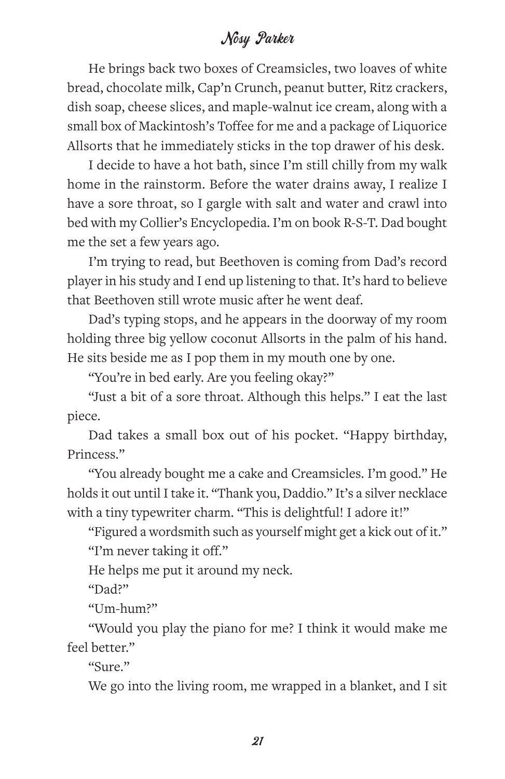He brings back two boxes of Creamsicles, two loaves of white bread, chocolate milk, Cap'n Crunch, peanut butter, Ritz crackers, dish soap, cheese slices, and maple-walnut ice cream, along with a small box of Mackintosh's Toffee for me and a package of Liquorice Allsorts that he immediately sticks in the top drawer of his desk.

I decide to have a hot bath, since I'm still chilly from my walk home in the rainstorm. Before the water drains away, I realize I have a sore throat, so I gargle with salt and water and crawl into bed with my Collier's Encyclopedia. I'm on book R-S-T. Dad bought me the set a few years ago.

I'm trying to read, but Beethoven is coming from Dad's record player in his study and I end up listening to that. It's hard to believe that Beethoven still wrote music after he went deaf.

Dad's typing stops, and he appears in the doorway of my room holding three big yellow coconut Allsorts in the palm of his hand. He sits beside me as I pop them in my mouth one by one.

"You're in bed early. Are you feeling okay?"

"Just a bit of a sore throat. Although this helps." I eat the last piece.

Dad takes a small box out of his pocket. "Happy birthday, Princess."

"You already bought me a cake and Creamsicles. I'm good." He holds it out until I take it. "Thank you, Daddio." It's a silver necklace with a tiny typewriter charm. "This is delightful! I adore it!"

"Figured a wordsmith such as yourself might get a kick out of it." "I'm never taking it off."

He helps me put it around my neck.

"Dad?"

"Um-hum?"

"Would you play the piano for me? I think it would make me feel better."

"Sure."

We go into the living room, me wrapped in a blanket, and I sit